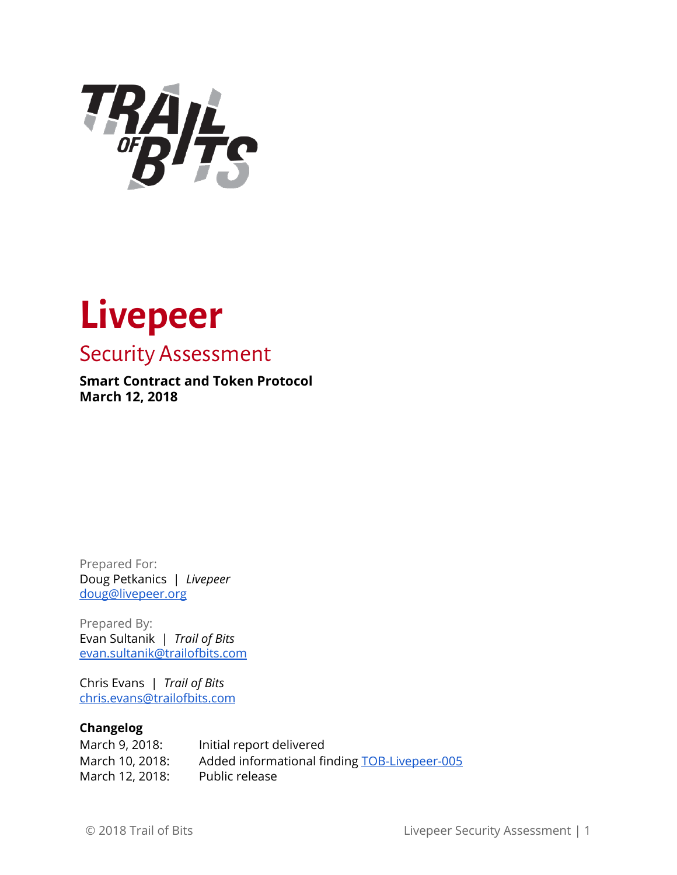

# **Livepeer**

### Security Assessment

#### **Smart Contract and Token Protocol March 12, 2018**

Prepared For: Doug Petkanics | *Livepeer* [doug@livepeer.org](mailto:doug@livepeer.org)

Prepared By: Evan Sultanik | *Trail of Bits* [evan.sultanik@trailofbits.com](mailto:evan.sultanik@trailofbits.com)

Chris Evans | *Trail of Bits* [chris.evans@trailofbits.com](mailto:chris.evans@trailofbits.com)

#### **Changelog**

| March 9, 2018:  | Initial report delivered                     |
|-----------------|----------------------------------------------|
| March 10, 2018: | Added informational finding TOB-Livepeer-005 |
| March 12, 2018: | Public release                               |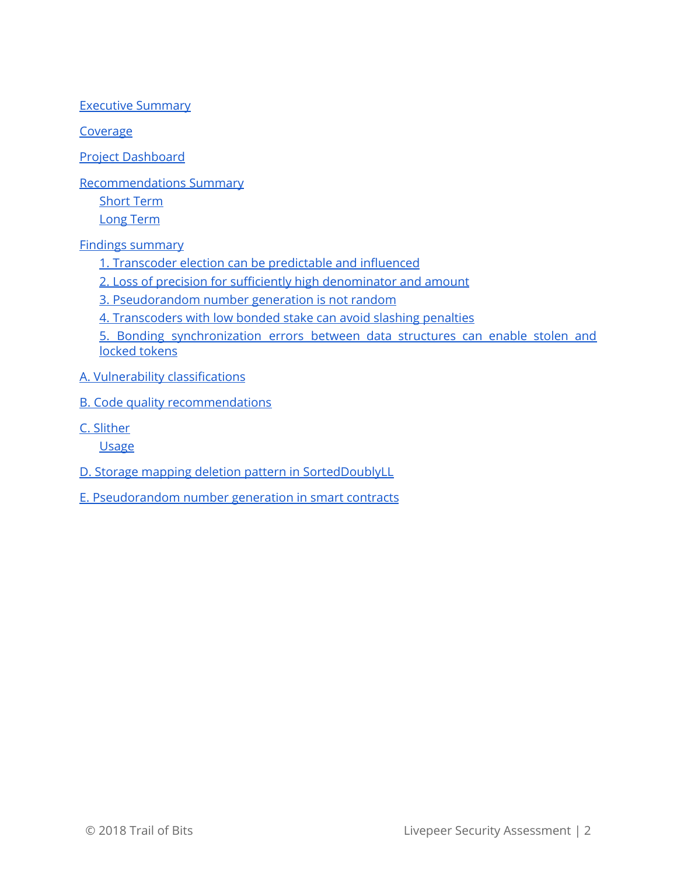Executive [Summary](#page-2-0)

[Coverage](#page-4-0)

Project [Dashboard](#page-6-0)

[Recommendations](#page-7-0) Summary

[Short](#page-7-1) Term

Long [Term](#page-7-2)

Findings [summary](#page-8-0)

1. [Transcoder](#page-9-0) election can be predictable and influenced

2. Loss of precision for sufficiently high [denominator](#page-11-0) and amount

3. [Pseudorandom](#page-13-0) number generation is not random

4. [Transcoders](#page-15-0) with low bonded stake can avoid slashing penalties

5. Bonding [synchronization](#page-17-0) errors between data structures can enable stolen and locked [tokens](#page-17-0)

- A. Vulnerability [classifications](#page-20-0)
- B. Code quality [recommendations](#page-22-0)
- C. [Slither](#page-23-0)

**[Usage](#page-23-1)** 

D. Storage mapping deletion pattern in [SortedDoublyLL](#page-24-0)

E. [Pseudorandom](#page-26-0) number generation in smart contracts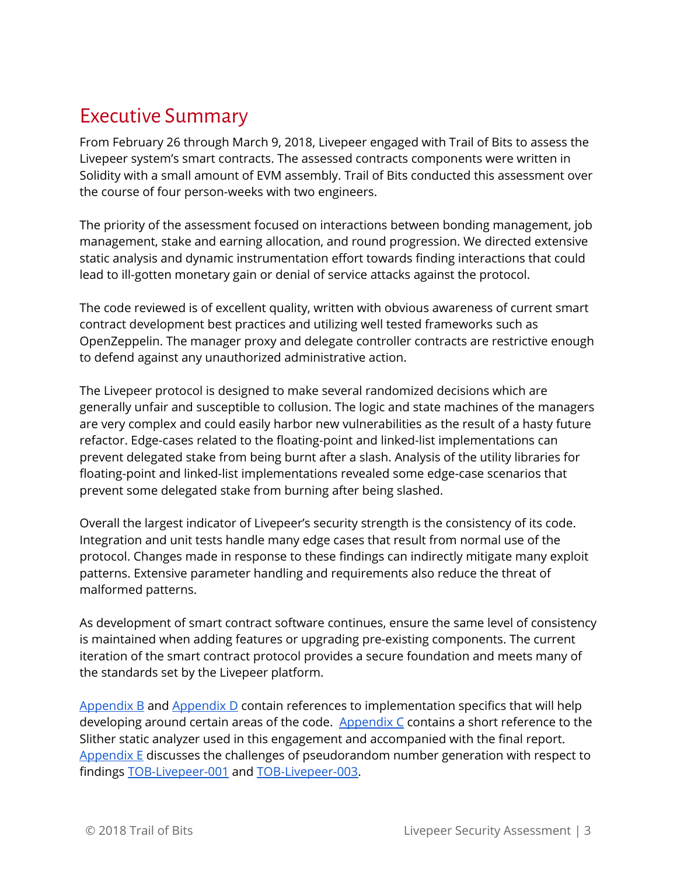### <span id="page-2-0"></span>Executive Summary

From February 26 through March 9, 2018, Livepeer engaged with Trail of Bits to assess the Livepeer system's smart contracts. The assessed contracts components were written in Solidity with a small amount of EVM assembly. Trail of Bits conducted this assessment over the course of four person-weeks with two engineers.

The priority of the assessment focused on interactions between bonding management, job management, stake and earning allocation, and round progression. We directed extensive static analysis and dynamic instrumentation effort towards finding interactions that could lead to ill-gotten monetary gain or denial of service attacks against the protocol.

The code reviewed is of excellent quality, written with obvious awareness of current smart contract development best practices and utilizing well tested frameworks such as OpenZeppelin. The manager proxy and delegate controller contracts are restrictive enough to defend against any unauthorized administrative action.

The Livepeer protocol is designed to make several randomized decisions which are generally unfair and susceptible to collusion. The logic and state machines of the managers are very complex and could easily harbor new vulnerabilities as the result of a hasty future refactor. Edge-cases related to the floating-point and linked-list implementations can prevent delegated stake from being burnt after a slash. Analysis of the utility libraries for floating-point and linked-list implementations revealed some edge-case scenarios that prevent some delegated stake from burning after being slashed.

Overall the largest indicator of Livepeer's security strength is the consistency of its code. Integration and unit tests handle many edge cases that result from normal use of the protocol. Changes made in response to these findings can indirectly mitigate many exploit patterns. Extensive parameter handling and requirements also reduce the threat of malformed patterns.

As development of smart contract software continues, ensure the same level of consistency is maintained when adding features or upgrading pre-existing components. The current iteration of the smart contract protocol provides a secure foundation and meets many of the standards set by the Livepeer platform.

[Appendix](#page-22-0) B and [Appendix](#page-24-0) D contain references to implementation specifics that will help developing around certain areas of the code. [Appendix](#page-23-0)  $C$  contains a short reference to the Slither static analyzer used in this engagement and accompanied with the final report. [Appendix](#page-26-0) E discusses the challenges of pseudorandom number generation with respect to findings [TOB-Livepeer-001](#page-9-0) and [TOB-Livepeer-003.](#page-13-0)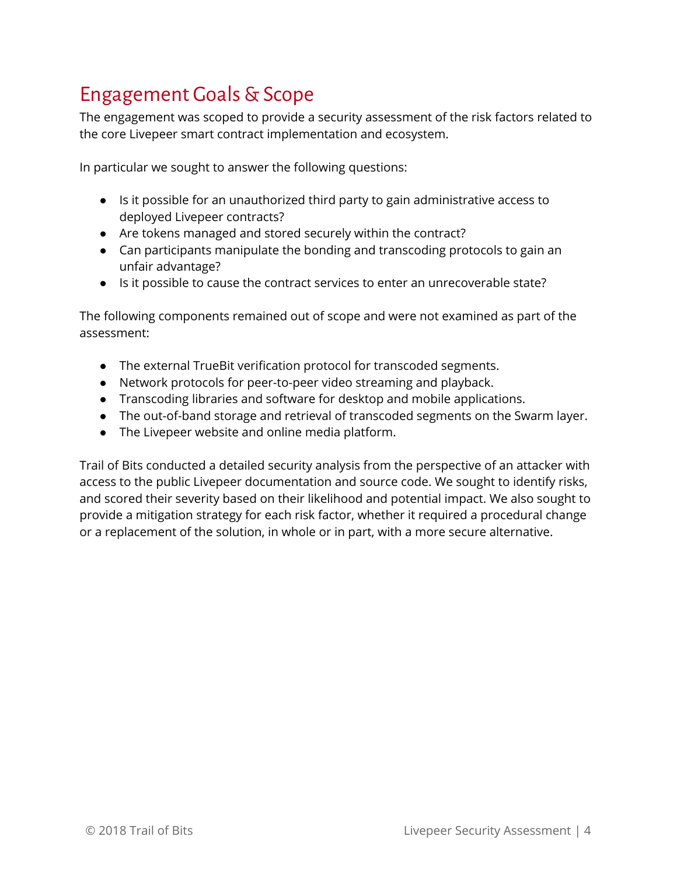## Engagement Goals & Scope

The engagement was scoped to provide a security assessment of the risk factors related to the core Livepeer smart contract implementation and ecosystem.

In particular we sought to answer the following questions:

- Is it possible for an unauthorized third party to gain administrative access to deployed Livepeer contracts?
- Are tokens managed and stored securely within the contract?
- Can participants manipulate the bonding and transcoding protocols to gain an unfair advantage?
- Is it possible to cause the contract services to enter an unrecoverable state?

The following components remained out of scope and were not examined as part of the assessment:

- The external TrueBit verification protocol for transcoded segments.
- Network protocols for peer-to-peer video streaming and playback.
- Transcoding libraries and software for desktop and mobile applications.
- The out-of-band storage and retrieval of transcoded segments on the Swarm layer.
- The Livepeer website and online media platform.

Trail of Bits conducted a detailed security analysis from the perspective of an attacker with access to the public Livepeer documentation and source code. We sought to identify risks, and scored their severity based on their likelihood and potential impact. We also sought to provide a mitigation strategy for each risk factor, whether it required a procedural change or a replacement of the solution, in whole or in part, with a more secure alternative.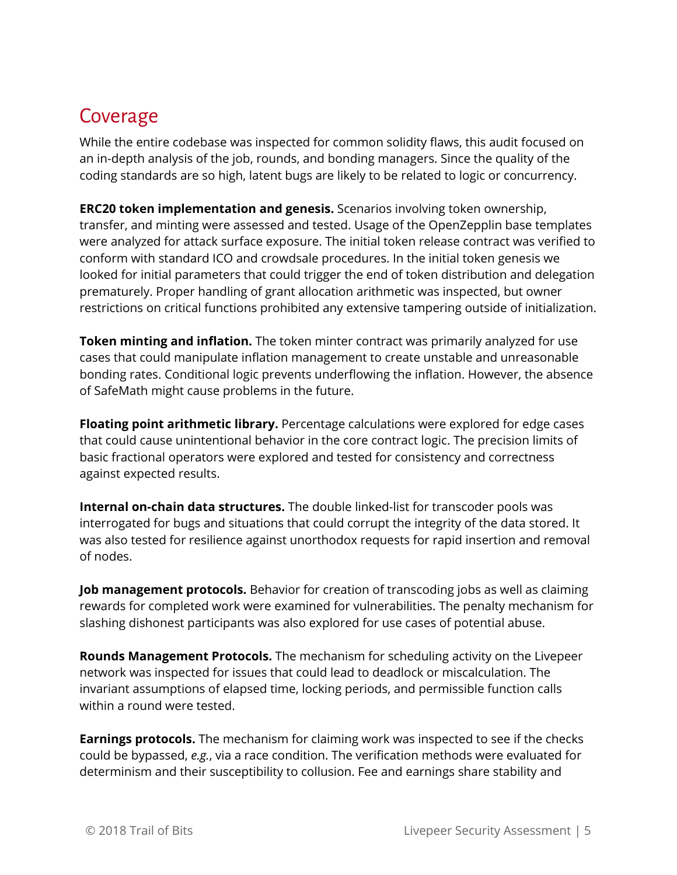### <span id="page-4-0"></span>Coverage

While the entire codebase was inspected for common solidity flaws, this audit focused on an in-depth analysis of the job, rounds, and bonding managers. Since the quality of the coding standards are so high, latent bugs are likely to be related to logic or concurrency.

**ERC20 token implementation and genesis.** Scenarios involving token ownership, transfer, and minting were assessed and tested. Usage of the OpenZepplin base templates were analyzed for attack surface exposure. The initial token release contract was verified to conform with standard ICO and crowdsale procedures. In the initial token genesis we looked for initial parameters that could trigger the end of token distribution and delegation prematurely. Proper handling of grant allocation arithmetic was inspected, but owner restrictions on critical functions prohibited any extensive tampering outside of initialization.

**Token minting and inflation.** The token minter contract was primarily analyzed for use cases that could manipulate inflation management to create unstable and unreasonable bonding rates. Conditional logic prevents underflowing the inflation. However, the absence of SafeMath might cause problems in the future.

**Floating point arithmetic library.** Percentage calculations were explored for edge cases that could cause unintentional behavior in the core contract logic. The precision limits of basic fractional operators were explored and tested for consistency and correctness against expected results.

**Internal on-chain data structures.** The double linked-list for transcoder pools was interrogated for bugs and situations that could corrupt the integrity of the data stored. It was also tested for resilience against unorthodox requests for rapid insertion and removal of nodes.

**Job management protocols.** Behavior for creation of transcoding jobs as well as claiming rewards for completed work were examined for vulnerabilities. The penalty mechanism for slashing dishonest participants was also explored for use cases of potential abuse.

**Rounds Management Protocols.** The mechanism for scheduling activity on the Livepeer network was inspected for issues that could lead to deadlock or miscalculation. The invariant assumptions of elapsed time, locking periods, and permissible function calls within a round were tested.

**Earnings protocols.** The mechanism for claiming work was inspected to see if the checks could be bypassed, *e.g.*, via a race condition. The verification methods were evaluated for determinism and their susceptibility to collusion. Fee and earnings share stability and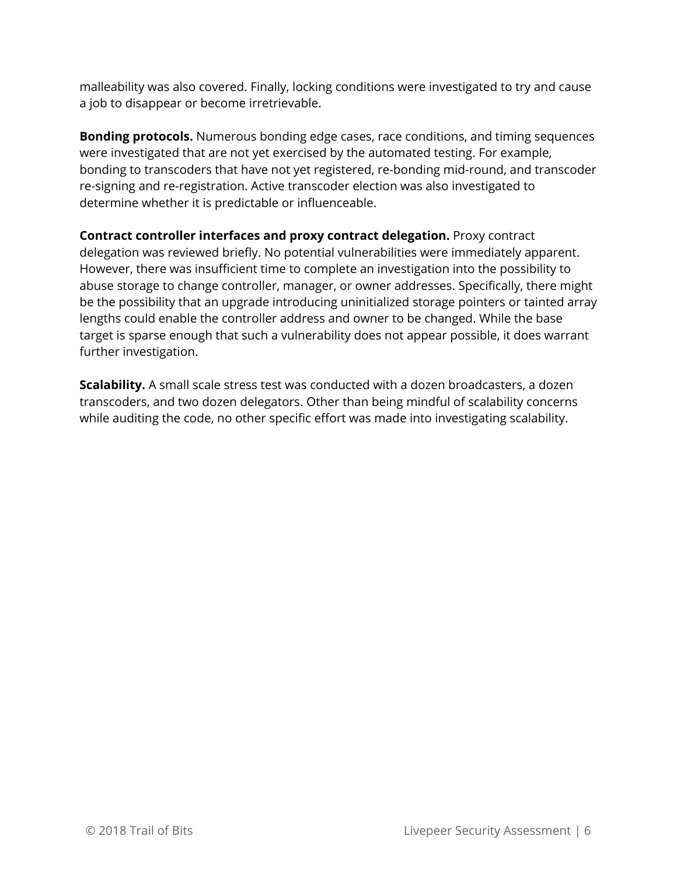malleability was also covered. Finally, locking conditions were investigated to try and cause a job to disappear or become irretrievable.

**Bonding protocols.** Numerous bonding edge cases, race conditions, and timing sequences were investigated that are not yet exercised by the automated testing. For example, bonding to transcoders that have not yet registered, re-bonding mid-round, and transcoder re-signing and re-registration. Active transcoder election was also investigated to determine whether it is predictable or influenceable.

**Contract controller interfaces and proxy contract delegation.** Proxy contract delegation was reviewed briefly. No potential vulnerabilities were immediately apparent. However, there was insufficient time to complete an investigation into the possibility to abuse storage to change controller, manager, or owner addresses. Specifically, there might be the possibility that an upgrade introducing uninitialized storage pointers or tainted array lengths could enable the controller address and owner to be changed. While the base target is sparse enough that such a vulnerability does not appear possible, it does warrant further investigation.

**Scalability.** A small scale stress test was conducted with a dozen broadcasters, a dozen transcoders, and two dozen delegators. Other than being mindful of scalability concerns while auditing the code, no other specific effort was made into investigating scalability.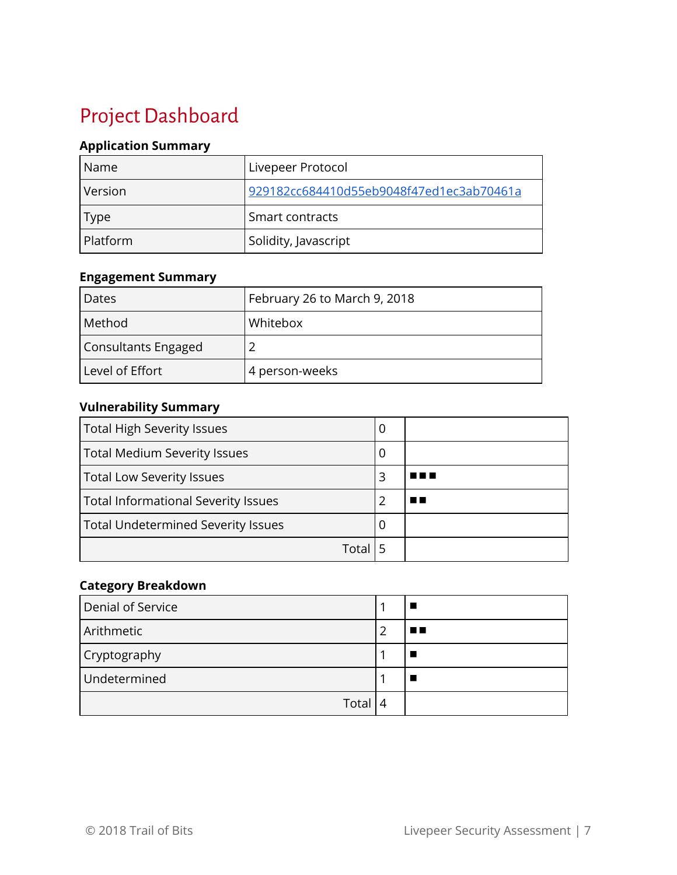# <span id="page-6-0"></span>Project Dashboard

#### **Application Summary**

| <b>Name</b> | Livepeer Protocol                        |
|-------------|------------------------------------------|
| Version     | 929182cc684410d55eb9048f47ed1ec3ab70461a |
| <b>Type</b> | Smart contracts                          |
| Platform    | Solidity, Javascript                     |

#### **Engagement Summary**

| Dates               | February 26 to March 9, 2018 |
|---------------------|------------------------------|
| Method              | Whitebox                     |
| Consultants Engaged |                              |
| Level of Effort     | 4 person-weeks               |

#### **Vulnerability Summary**

| <b>Total High Severity Issues</b>          | U |  |
|--------------------------------------------|---|--|
| <b>Total Medium Severity Issues</b>        | 0 |  |
| <b>Total Low Severity Issues</b>           | 3 |  |
| <b>Total Informational Severity Issues</b> |   |  |
| <b>Total Undetermined Severity Issues</b>  | Ü |  |
| Total                                      |   |  |

#### **Category Breakdown**

| Denial of Service |   |    |
|-------------------|---|----|
| Arithmetic        |   | ■■ |
| Cryptography      |   |    |
| Undetermined      |   |    |
| Total             | 4 |    |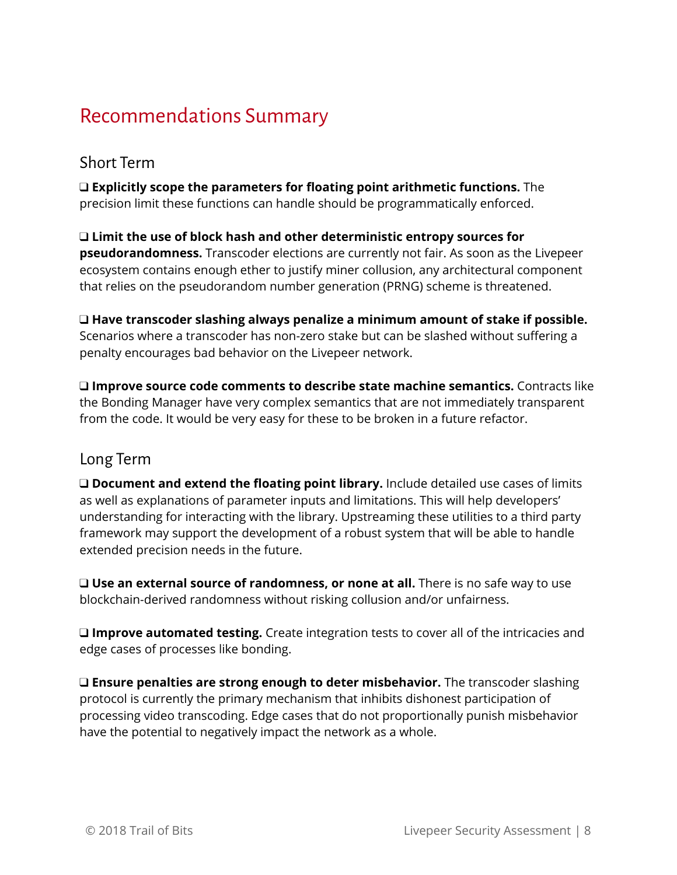### <span id="page-7-0"></span>Recommendations Summary

### <span id="page-7-1"></span>Short Term

❑ **Explicitly scope the parameters for floating point arithmetic functions.** The precision limit these functions can handle should be programmatically enforced.

❑ **Limit the use of block hash and other deterministic entropy sources for pseudorandomness.** Transcoder elections are currently not fair. As soon as the Livepeer ecosystem contains enough ether to justify miner collusion, any architectural component that relies on the pseudorandom number generation (PRNG) scheme is threatened.

❑ **Have transcoder slashing always penalize a minimum amount of stake if possible.** Scenarios where a transcoder has non-zero stake but can be slashed without suffering a penalty encourages bad behavior on the Livepeer network.

❑ **Improve source code comments to describe state machine semantics.** Contracts like the Bonding Manager have very complex semantics that are not immediately transparent from the code. It would be very easy for these to be broken in a future refactor.

### <span id="page-7-2"></span>Long Term

❑ **Document and extend the floating point library.** Include detailed use cases of limits as well as explanations of parameter inputs and limitations. This will help developers' understanding for interacting with the library. Upstreaming these utilities to a third party framework may support the development of a robust system that will be able to handle extended precision needs in the future.

❑ **Use an external source of randomness, or none at all.** There is no safe way to use blockchain-derived randomness without risking collusion and/or unfairness.

❑ **Improve automated testing.** Create integration tests to cover all of the intricacies and edge cases of processes like bonding.

❑ **Ensure penalties are strong enough to deter misbehavior.** The transcoder slashing protocol is currently the primary mechanism that inhibits dishonest participation of processing video transcoding. Edge cases that do not proportionally punish misbehavior have the potential to negatively impact the network as a whole.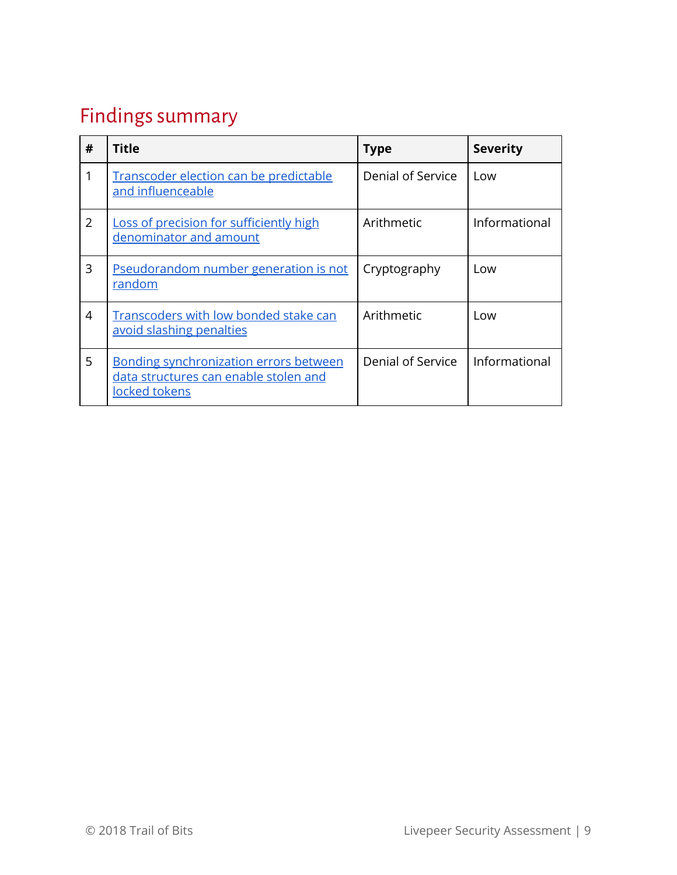# <span id="page-8-0"></span>Findings summary

| # | <b>Title</b>                                                                                            | <b>Type</b>       | <b>Severity</b> |
|---|---------------------------------------------------------------------------------------------------------|-------------------|-----------------|
|   | Transcoder election can be predictable<br>and influenceable                                             | Denial of Service | Low             |
| 2 | Loss of precision for sufficiently high<br>denominator and amount                                       | Arithmetic        | Informational   |
| 3 | Pseudorandom number generation is not<br>random                                                         | Cryptography      | Low             |
| 4 | Transcoders with low bonded stake can<br>avoid slashing penalties                                       | Arithmetic        | Low             |
| 5 | <b>Bonding synchronization errors between</b><br>data structures can enable stolen and<br>locked tokens | Denial of Service | Informational   |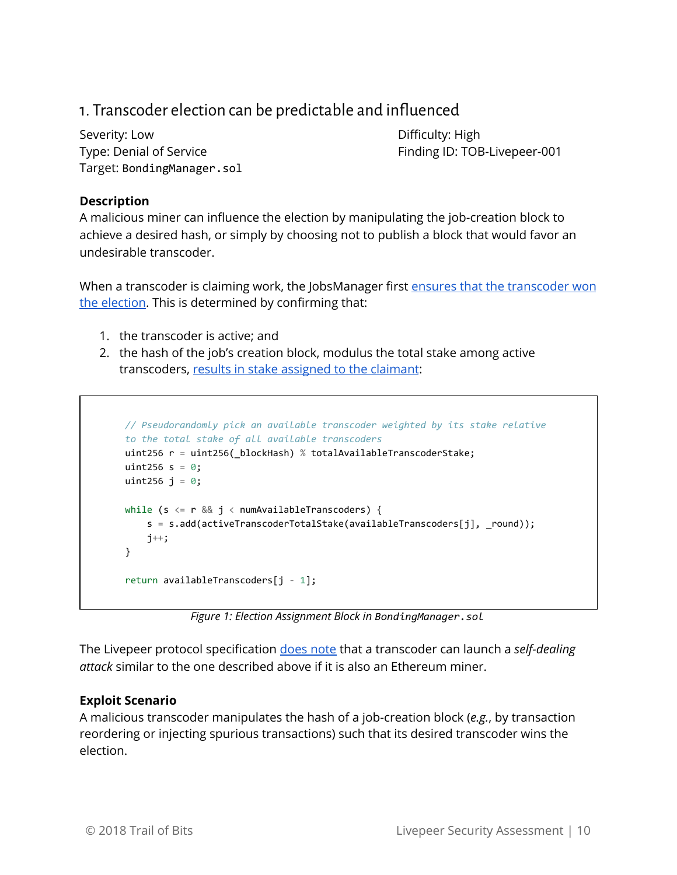### <span id="page-9-0"></span>1. Transcoder election can be predictable and influenced

Severity: Low **Difficulty:** High Target: BondingManager.sol

Type: Denial of Service Type: Denial of Service

#### **Description**

A malicious miner can influence the election by manipulating the job-creation block to achieve a desired hash, or simply by choosing not to publish a block that would favor an undesirable transcoder.

When a transcoder is claiming work, the JobsManager first ensures that the [transcoder](https://github.com/livepeer/protocol/blob/master/contracts/jobs/JobsManager.sol#L302) won the [election](https://github.com/livepeer/protocol/blob/master/contracts/jobs/JobsManager.sol#L302). This is determined by confirming that:

- 1. the transcoder is active; and
- 2. the hash of the job's creation block, modulus the total stake among active transcoders, results in stake [assigned](https://github.com/livepeer/protocol/blob/master/contracts/bonding/BondingManager.sol#L586-L596) to the claimant:

```
// Pseudorandomly pick an available transcoder weighted by its stake relative
to the total stake of all available transcoders
uint256 r = uint256(_blockHash) % totalAvailableTranscoderStake;
uint256 s = \theta;
uint256 j = 0;
while (s \le r && j \le numAvailableTranscoders) {
        s  = s.add(activeTranscoderTotalStake(availableTranscoders[j], _round));
   j_{++};
}
return availableTranscoders[i - 1];
```
*Figure 1: Election Assignment Block in BondingManager.sol*

The Livepeer protocol specification [does](https://github.com/livepeer/wiki/blob/master/SPEC.md#notes-2) note that a transcoder can launch a *self-dealing attack* similar to the one described above if it is also an Ethereum miner.

#### **Exploit Scenario**

A malicious transcoder manipulates the hash of a job-creation block (*e.g.*, by transaction reordering or injecting spurious transactions) such that its desired transcoder wins the election.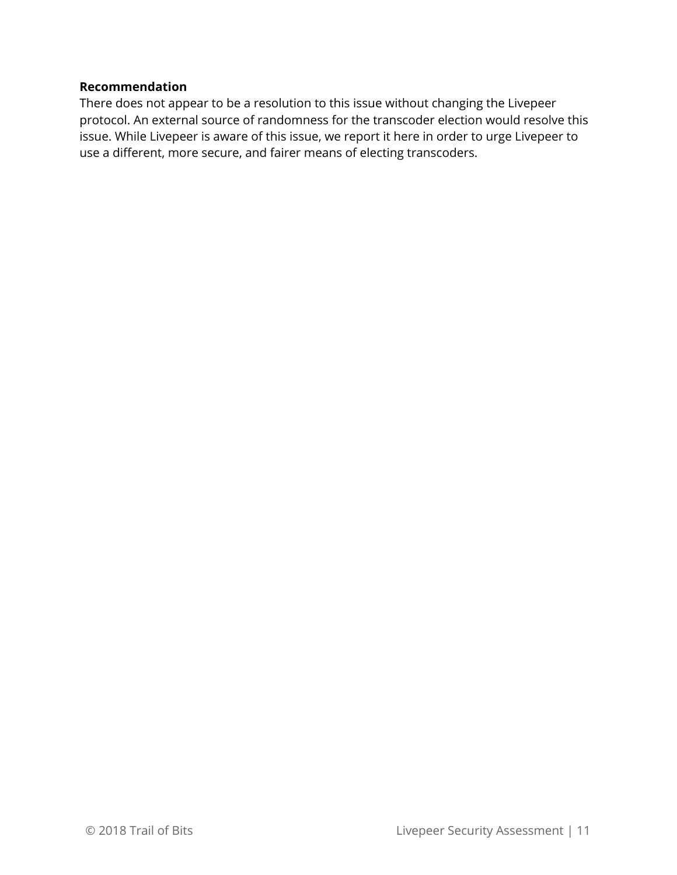#### **Recommendation**

There does not appear to be a resolution to this issue without changing the Livepeer protocol. An external source of randomness for the transcoder election would resolve this issue. While Livepeer is aware of this issue, we report it here in order to urge Livepeer to use a different, more secure, and fairer means of electing transcoders.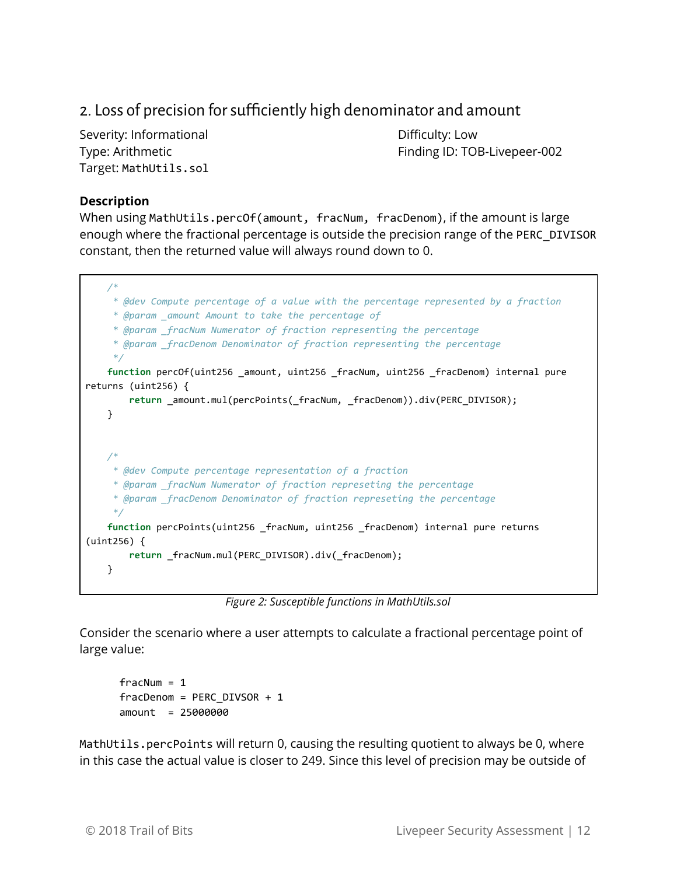### <span id="page-11-0"></span>2. Loss of precision for sufficiently high denominator and amount

Severity: Informational and Difficulty: Low Target: MathUtils.sol

Type: Arithmetic Type: Arithmetic Finding ID: TOB-Livepeer-002

#### **Description**

When using MathUtils.percOf(amount, fracNum, fracDenom), if the amount is large enough where the fractional percentage is outside the precision range of the PERC\_DIVISOR constant, then the returned value will always round down to 0.



*Figure 2: Susceptible functions in MathUtils.sol*

Consider the scenario where a user attempts to calculate a fractional percentage point of large value:

 $fracNum = 1$ fracDenom = PERC\_DIVSOR + 1 amount = 25000000

MathUtils.percPoints will return 0, causing the resulting quotient to always be 0, where in this case the actual value is closer to 249. Since this level of precision may be outside of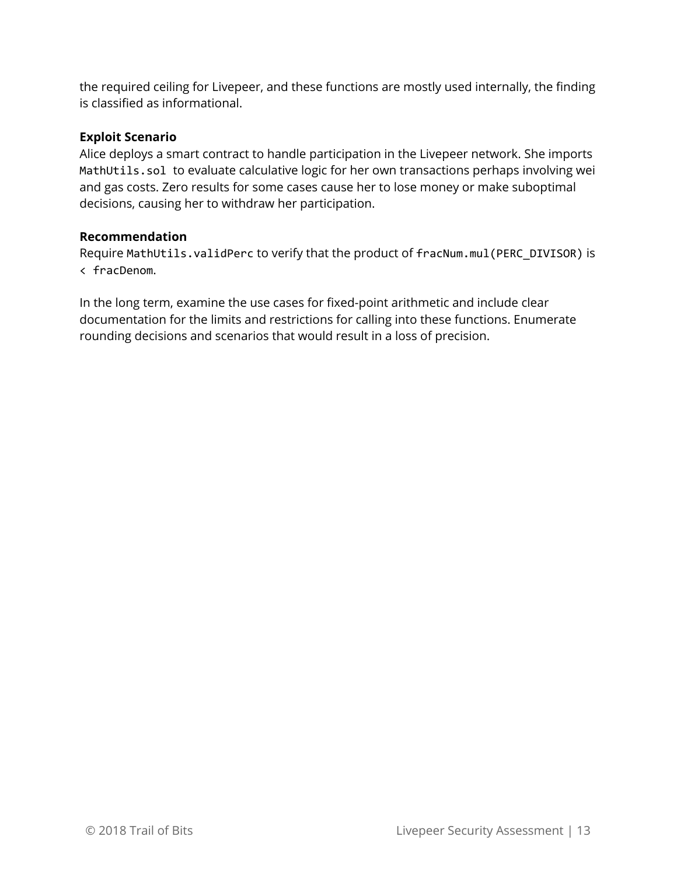the required ceiling for Livepeer, and these functions are mostly used internally, the finding is classified as informational.

#### **Exploit Scenario**

Alice deploys a smart contract to handle participation in the Livepeer network. She imports MathUtils.sol to evaluate calculative logic for her own transactions perhaps involving wei and gas costs. Zero results for some cases cause her to lose money or make suboptimal decisions, causing her to withdraw her participation.

#### **Recommendation**

Require MathUtils.validPerc to verify that the product of fracNum.mul(PERC\_DIVISOR) is < fracDenom.

In the long term, examine the use cases for fixed-point arithmetic and include clear documentation for the limits and restrictions for calling into these functions. Enumerate rounding decisions and scenarios that would result in a loss of precision.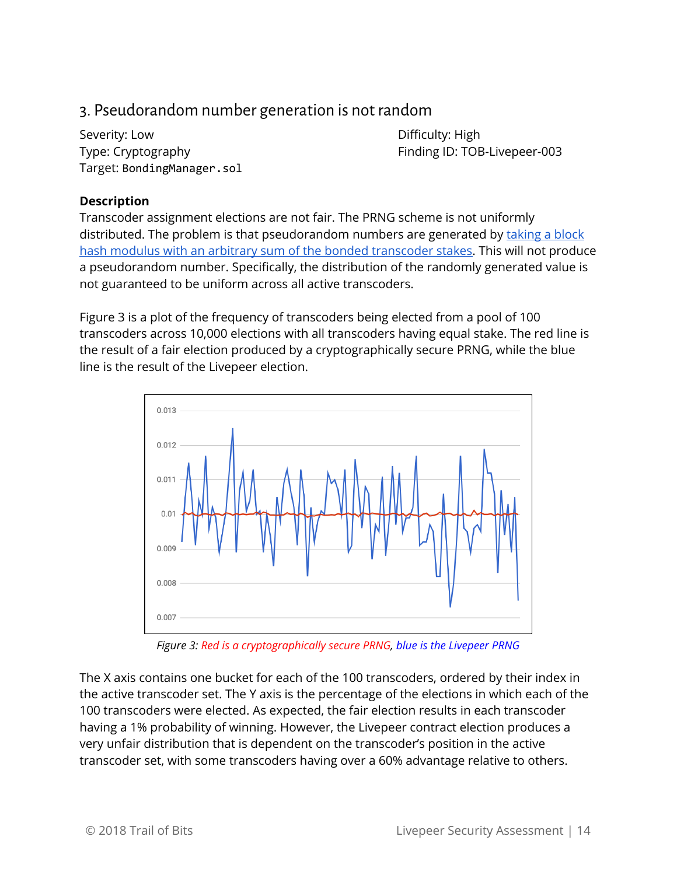### <span id="page-13-0"></span>3. Pseudorandom number generation is not random

Severity: Low **Difficulty:** High Target: BondingManager.sol

Type: Cryptography Type: Cryptography Finding ID: TOB-Livepeer-003

#### **Description**

Transcoder assignment elections are not fair. The PRNG scheme is not uniformly distributed. The problem is that pseudorandom numbers are generated by [taking](https://github.com/livepeer/protocol/blob/master/contracts/bonding/BondingManager.sol#L587) a block hash modulus with an arbitrary sum of the bonded [transcoder](https://github.com/livepeer/protocol/blob/master/contracts/bonding/BondingManager.sol#L587) stakes. This will not produce a pseudorandom number. Specifically, the distribution of the randomly generated value is not guaranteed to be uniform across all active transcoders.

Figure 3 is a plot of the frequency of transcoders being elected from a pool of 100 transcoders across 10,000 elections with all transcoders having equal stake. The red line is the result of a fair election produced by a cryptographically secure PRNG, while the blue line is the result of the Livepeer election.



*Figure 3: Red is a cryptographically secure PRNG, blue is the Livepeer PRNG*

The X axis contains one bucket for each of the 100 transcoders, ordered by their index in the active transcoder set. The Y axis is the percentage of the elections in which each of the 100 transcoders were elected. As expected, the fair election results in each transcoder having a 1% probability of winning. However, the Livepeer contract election produces a very unfair distribution that is dependent on the transcoder's position in the active transcoder set, with some transcoders having over a 60% advantage relative to others.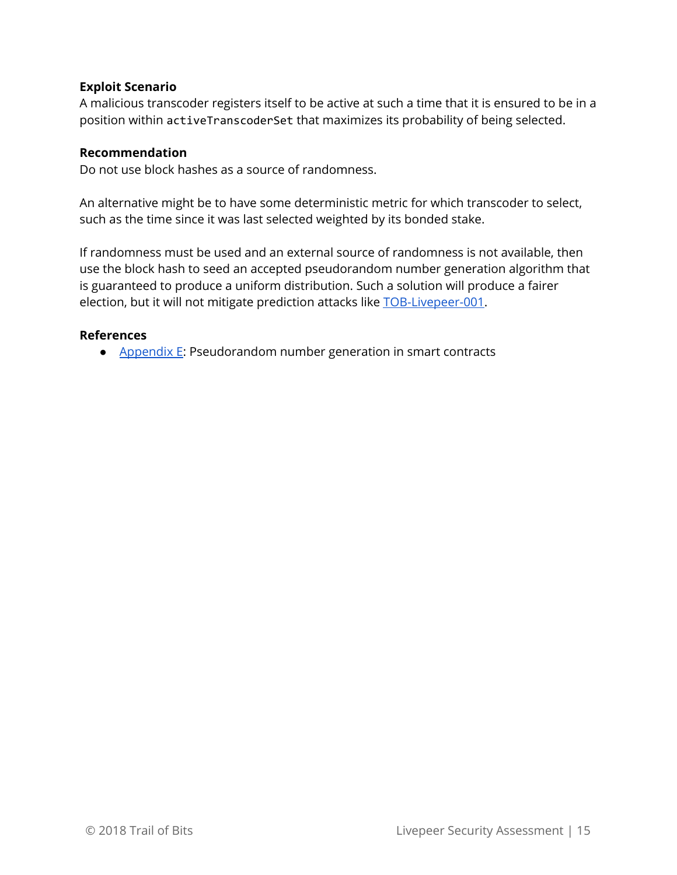#### **Exploit Scenario**

A malicious transcoder registers itself to be active at such a time that it is ensured to be in a position within activeTranscoderSet that maximizes its probability of being selected.

#### **Recommendation**

Do not use block hashes as a source of randomness.

An alternative might be to have some deterministic metric for which transcoder to select, such as the time since it was last selected weighted by its bonded stake.

If randomness must be used and an external source of randomness is not available, then use the block hash to seed an accepted pseudorandom number generation algorithm that is guaranteed to produce a uniform distribution. Such a solution will produce a fairer election, but it will not mitigate prediction attacks like [TOB-Livepeer-001](#page-9-0).

#### **References**

● [Appendix](#page-26-0) E: Pseudorandom number generation in smart contracts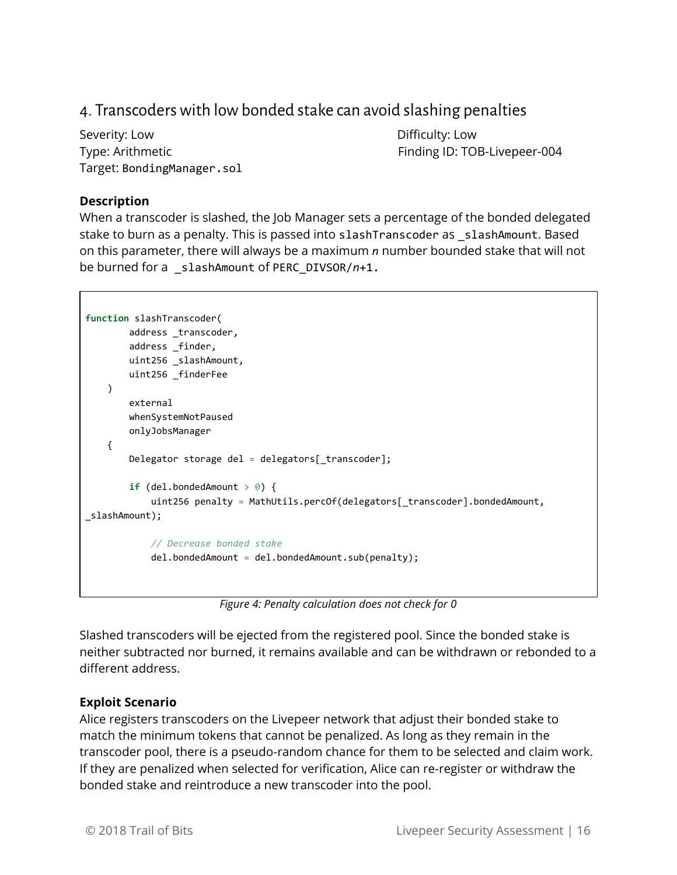### <span id="page-15-0"></span>4. Transcoders with low bonded stake can avoid slashing penalties

Severity: Low **Difficulty:** Low Target: BondingManager.sol

Type: Arithmetic Type: Arithmetic Finding ID: TOB-Livepeer-004

#### **Description**

When a transcoder is slashed, the Job Manager sets a percentage of the bonded delegated stake to burn as a penalty. This is passed into slashTranscoder as \_slashAmount. Based on this parameter, there will always be a maximum *n* number bounded stake that will not be burned for a \_slashAmount of PERC\_DIVSOR/*n*+1.

```
function  slashTranscoder(
                 address _transcoder,
                 address _finder,
                 uint256 _slashAmount,
                 uint256 _finderFee
    \lambda        external
                 whenSystemNotPaused
                  onlyJobsManager
        {
                  Delegator storage del  = delegators[_transcoder];
          if (de1.bondedAmount > 0) {
                           uint256 penalty  = MathUtils.percOf(delegators[_transcoder].bondedAmount,
_slashAmount);
                            // Decrease bonded stake
                           del.bondedAmount  = del.bondedAmount.sub(penalty);
```
*Figure 4: Penalty calculation does not check for 0*

Slashed transcoders will be ejected from the registered pool. Since the bonded stake is neither subtracted nor burned, it remains available and can be withdrawn or rebonded to a different address.

#### **Exploit Scenario**

Alice registers transcoders on the Livepeer network that adjust their bonded stake to match the minimum tokens that cannot be penalized. As long as they remain in the transcoder pool, there is a pseudo-random chance for them to be selected and claim work. If they are penalized when selected for verification, Alice can re-register or withdraw the bonded stake and reintroduce a new transcoder into the pool.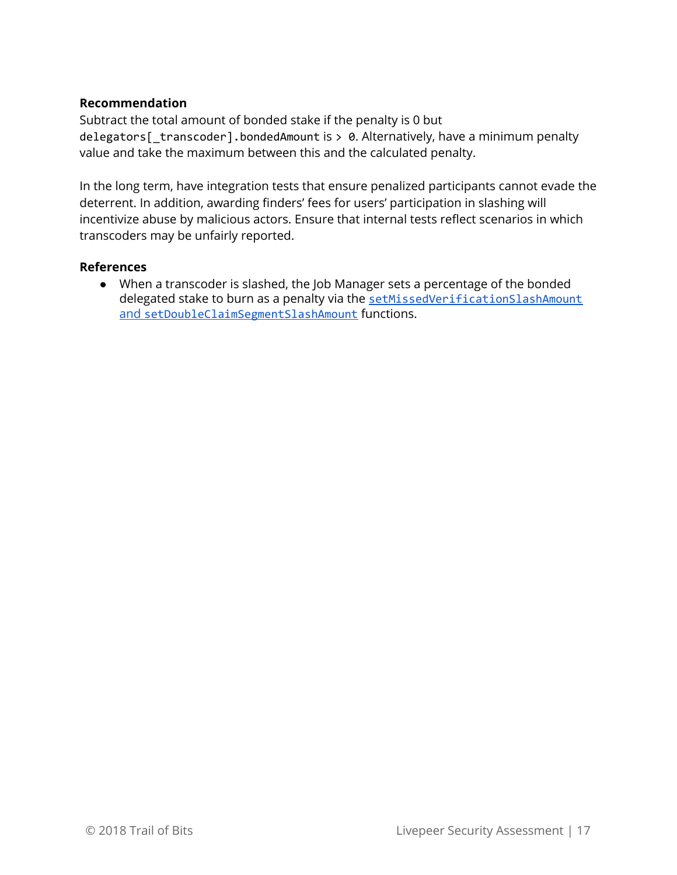#### **Recommendation**

Subtract the total amount of bonded stake if the penalty is 0 but delegators[\_transcoder].bondedAmount is > 0. Alternatively, have a minimum penalty value and take the maximum between this and the calculated penalty.

In the long term, have integration tests that ensure penalized participants cannot evade the deterrent. In addition, awarding finders' fees for users' participation in slashing will incentivize abuse by malicious actors. Ensure that internal tests reflect scenarios in which transcoders may be unfairly reported.

#### **References**

● When a transcoder is slashed, the Job Manager sets a percentage of the bonded delegated stake to burn as a penalty via the [setMissedVerificationSlashAmount](https://github.com/trailofbits/livepeer-audit/blob/929182cc684410d55eb9048f47ed1ec3ab70461a/contracts/jobs/JobsManager.sol#L167-L187) [and](https://github.com/trailofbits/livepeer-audit/blob/929182cc684410d55eb9048f47ed1ec3ab70461a/contracts/jobs/JobsManager.sol#L167-L187) [setDoubleClaimSegmentSlashAmount](https://github.com/trailofbits/livepeer-audit/blob/929182cc684410d55eb9048f47ed1ec3ab70461a/contracts/jobs/JobsManager.sol#L167-L187) functions.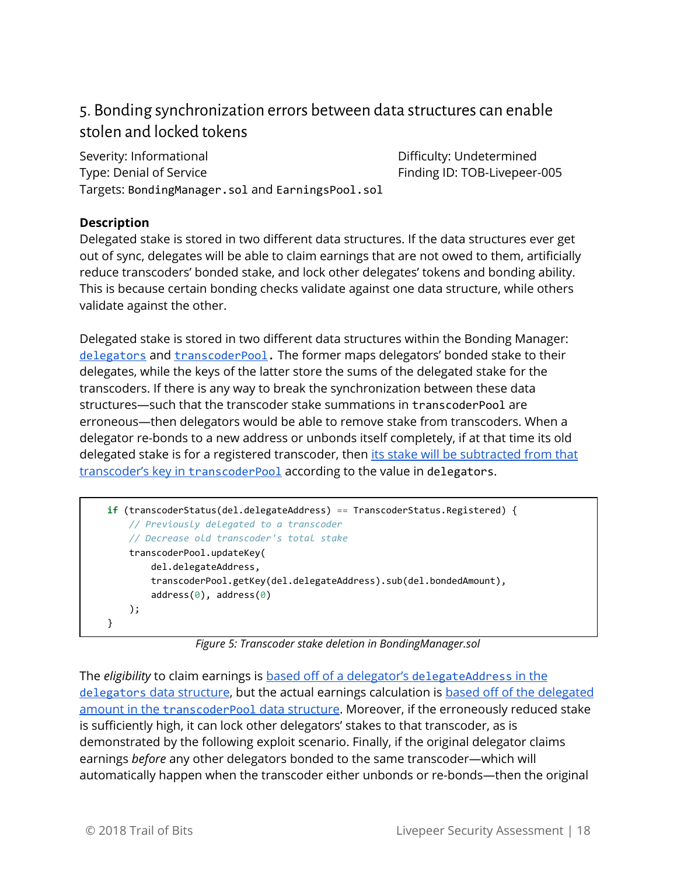### <span id="page-17-0"></span>5. Bonding synchronization errors between data structurescan enable stolen and locked tokens

Severity: Informational **Difficulty: Undetermined** Type: Denial of Service Type: Denial of Service Targets: BondingManager.sol and EarningsPool.sol

#### **Description**

Delegated stake is stored in two different data structures. If the data structures ever get out of sync, delegates will be able to claim earnings that are not owed to them, artificially reduce transcoders' bonded stake, and lock other delegates' tokens and bonding ability. This is because certain bonding checks validate against one data structure, while others validate against the other.

Delegated stake is stored in two different data structures within the Bonding Manager: [delegators](https://github.com/livepeer/protocol/blob/929182cc684410d55eb9048f47ed1ec3ab70461a/contracts/bonding/BondingManager.sol#L62) and [transcoderPool](https://github.com/livepeer/protocol/blob/929182cc684410d55eb9048f47ed1ec3ab70461a/contracts/bonding/BondingManager.sol#L69). The former maps delegators' bonded stake to their delegates, while the keys of the latter store the sums of the delegated stake for the transcoders. If there is any way to break the synchronization between these data structures—such that the transcoder stake summations in transcoderPool are erroneous—then delegators would be able to remove stake from transcoders. When a delegator re-bonds to a new address or unbonds itself completely, if at that time its old delegated stake is for a registered transcoder, then its stake will be [subtracted](https://github.com/livepeer/protocol/blob/929182cc684410d55eb9048f47ed1ec3ab70461a/contracts/bonding/BondingManager.sol#L296-L300) from that [transcoder's](https://github.com/livepeer/protocol/blob/929182cc684410d55eb9048f47ed1ec3ab70461a/contracts/bonding/BondingManager.sol#L296-L300) key in [transcoderPool](https://github.com/livepeer/protocol/blob/929182cc684410d55eb9048f47ed1ec3ab70461a/contracts/bonding/BondingManager.sol#L296-L300) according to the value in delegators.

```
    if  (transcoderStatus(del.delegateAddress)  == TranscoderStatus.Registered) {
             // Previously delegated to a transcoder
              // Decrease old transcoder's total stake
             transcoderPool.updateKey(
                     del.delegateAddress,
                     transcoderPool.getKey(del.delegateAddress).sub(del.bondedAmount),
         address(0), address(0)        );
    }
```
*Figure 5: Transcoder stake deletion in BondingManager.sol*

The *eligibility* to claim earnings is based off of a [delegator's](https://github.com/livepeer/protocol/blob/929182cc684410d55eb9048f47ed1ec3ab70461a/contracts/bonding/BondingManager.sol#L914) [delegateAddress](https://github.com/livepeer/protocol/blob/929182cc684410d55eb9048f47ed1ec3ab70461a/contracts/bonding/BondingManager.sol#L914) in [the](https://github.com/livepeer/protocol/blob/929182cc684410d55eb9048f47ed1ec3ab70461a/contracts/bonding/BondingManager.sol#L914) [delegators](https://github.com/livepeer/protocol/blob/929182cc684410d55eb9048f47ed1ec3ab70461a/contracts/bonding/BondingManager.sol#L914) data [structure,](https://github.com/livepeer/protocol/blob/929182cc684410d55eb9048f47ed1ec3ab70461a/contracts/bonding/BondingManager.sol#L914) but the actual earnings calculation is based off of the [delegated](https://github.com/livepeer/protocol/blob/929182cc684410d55eb9048f47ed1ec3ab70461a/contracts/bonding/BondingManager.sol#L424-L437) [amount](https://github.com/livepeer/protocol/blob/929182cc684410d55eb9048f47ed1ec3ab70461a/contracts/bonding/BondingManager.sol#L424-L437) in the [transcoderPool](https://github.com/livepeer/protocol/blob/929182cc684410d55eb9048f47ed1ec3ab70461a/contracts/bonding/BondingManager.sol#L424-L437) data [structure.](https://github.com/livepeer/protocol/blob/929182cc684410d55eb9048f47ed1ec3ab70461a/contracts/bonding/BondingManager.sol#L424-L437) Moreover, if the erroneously reduced stake is sufficiently high, it can lock other delegators' stakes to that transcoder, as is demonstrated by the following exploit scenario. Finally, if the original delegator claims earnings *before* any other delegators bonded to the same transcoder—which will automatically happen when the transcoder either unbonds or re-bonds—then the original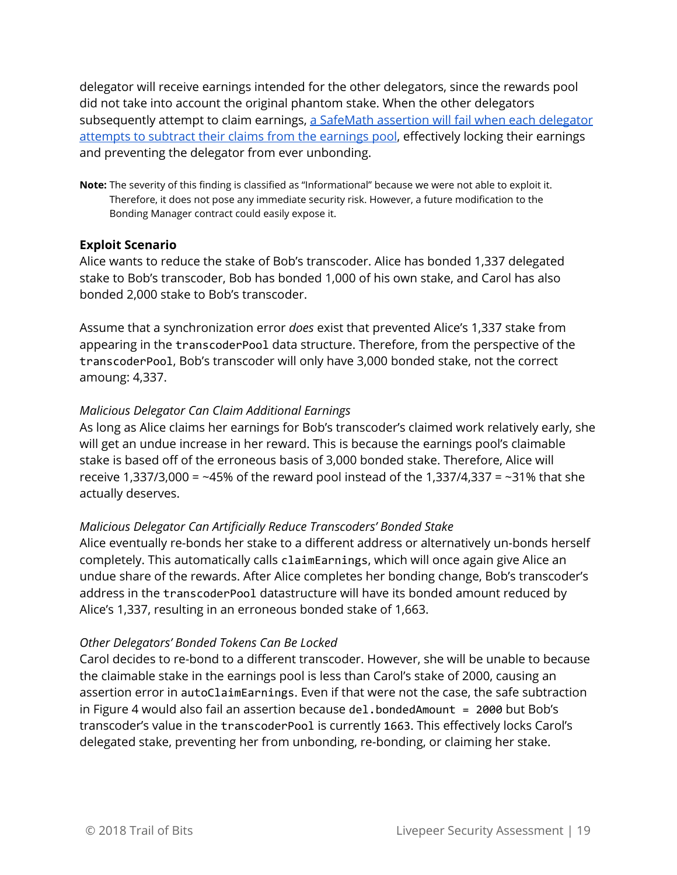delegator will receive earnings intended for the other delegators, since the rewards pool did not take into account the original phantom stake. When the other delegators subsequently attempt to claim earnings, a SafeMath assertion will fail when each [delegator](https://github.com/livepeer/protocol/blob/929182cc684410d55eb9048f47ed1ec3ab70461a/contracts/bonding/libraries/EarningsPool.sol#L49) [attempts](https://github.com/livepeer/protocol/blob/929182cc684410d55eb9048f47ed1ec3ab70461a/contracts/bonding/libraries/EarningsPool.sol#L49) to subtract their claims from the earnings pool, effectively locking their earnings and preventing the delegator from ever unbonding.

**Note:** The severity of this finding is classified as "Informational" because we were not able to exploit it. Therefore, it does not pose any immediate security risk. However, a future modification to the Bonding Manager contract could easily expose it.

#### **Exploit Scenario**

Alice wants to reduce the stake of Bob's transcoder. Alice has bonded 1,337 delegated stake to Bob's transcoder, Bob has bonded 1,000 of his own stake, and Carol has also bonded 2,000 stake to Bob's transcoder.

Assume that a synchronization error *does* exist that prevented Alice's 1,337 stake from appearing in the transcoderPool data structure. Therefore, from the perspective of the transcoderPool, Bob's transcoder will only have 3,000 bonded stake, not the correct amoung: 4,337.

#### *Malicious Delegator Can Claim Additional Earnings*

As long as Alice claims her earnings for Bob's transcoder's claimed work relatively early, she will get an undue increase in her reward. This is because the earnings pool's claimable stake is based off of the erroneous basis of 3,000 bonded stake. Therefore, Alice will receive 1,337/3,000 = ~45% of the reward pool instead of the 1,337/4,337 = ~31% that she actually deserves.

#### *Malicious Delegator Can Artificially Reduce Transcoders' Bonded Stake*

Alice eventually re-bonds her stake to a different address or alternatively un-bonds herself completely. This automatically calls claimEarnings, which will once again give Alice an undue share of the rewards. After Alice completes her bonding change, Bob's transcoder's address in the transcoderPool datastructure will have its bonded amount reduced by Alice's 1,337, resulting in an erroneous bonded stake of 1,663.

#### *Other Delegators' Bonded Tokens Can Be Locked*

Carol decides to re-bond to a different transcoder. However, she will be unable to because the claimable stake in the earnings pool is less than Carol's stake of 2000, causing an assertion error in autoClaimEarnings. Even if that were not the case, the safe subtraction in Figure 4 would also fail an assertion because del.bondedAmount = 2000 but Bob's transcoder's value in the transcoderPool is currently 1663. This effectively locks Carol's delegated stake, preventing her from unbonding, re-bonding, or claiming her stake.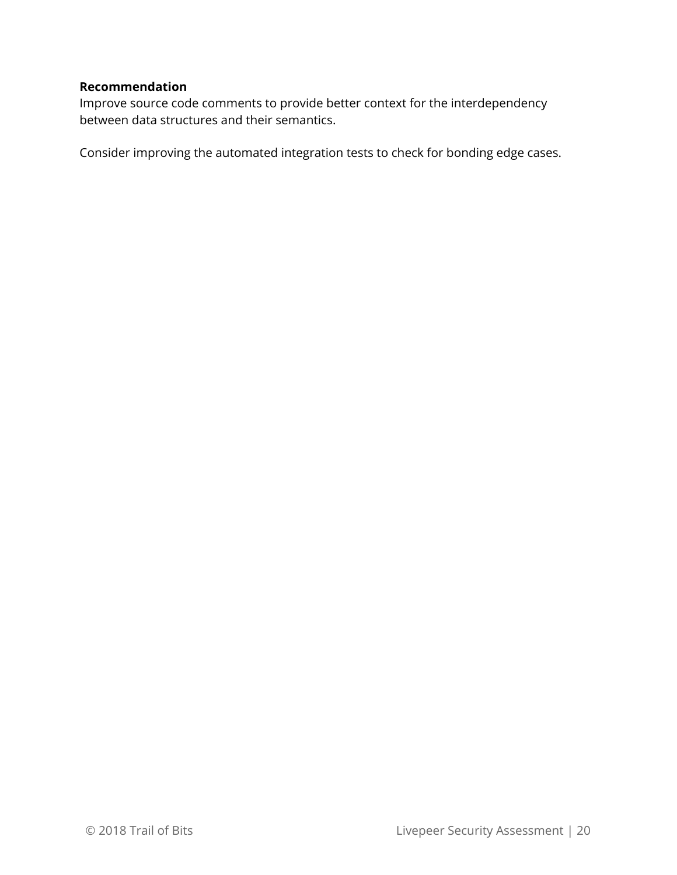#### **Recommendation**

Improve source code comments to provide better context for the interdependency between data structures and their semantics.

Consider improving the automated integration tests to check for bonding edge cases.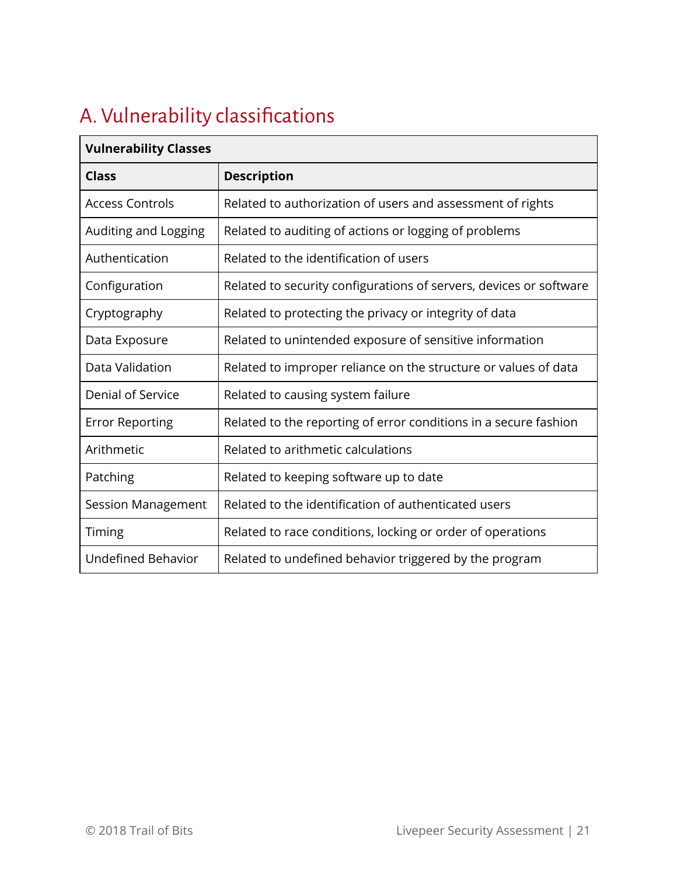# <span id="page-20-0"></span>A. Vulnerability classifications

| anicianinty ciusses       |                                                                    |  |
|---------------------------|--------------------------------------------------------------------|--|
| <b>Class</b>              | <b>Description</b>                                                 |  |
| <b>Access Controls</b>    | Related to authorization of users and assessment of rights         |  |
| Auditing and Logging      | Related to auditing of actions or logging of problems              |  |
| Authentication            | Related to the identification of users                             |  |
| Configuration             | Related to security configurations of servers, devices or software |  |
| Cryptography              | Related to protecting the privacy or integrity of data             |  |
| Data Exposure             | Related to unintended exposure of sensitive information            |  |
| Data Validation           | Related to improper reliance on the structure or values of data    |  |
| Denial of Service         | Related to causing system failure                                  |  |
| <b>Error Reporting</b>    | Related to the reporting of error conditions in a secure fashion   |  |
| Arithmetic                | Related to arithmetic calculations                                 |  |
| Patching                  | Related to keeping software up to date                             |  |
| Session Management        | Related to the identification of authenticated users               |  |
| Timing                    | Related to race conditions, locking or order of operations         |  |
| <b>Undefined Behavior</b> | Related to undefined behavior triggered by the program             |  |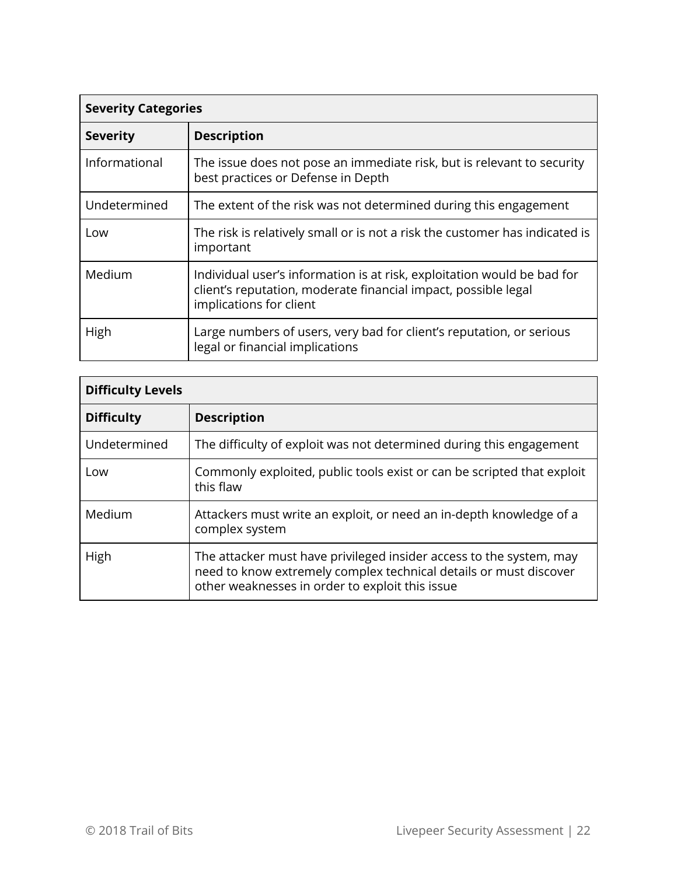| <b>Severity Categories</b> |                                                                                                                                                                      |  |
|----------------------------|----------------------------------------------------------------------------------------------------------------------------------------------------------------------|--|
| <b>Severity</b>            | <b>Description</b>                                                                                                                                                   |  |
| Informational              | The issue does not pose an immediate risk, but is relevant to security<br>best practices or Defense in Depth                                                         |  |
| Undetermined               | The extent of the risk was not determined during this engagement                                                                                                     |  |
| Low                        | The risk is relatively small or is not a risk the customer has indicated is<br>important                                                                             |  |
| Medium                     | Individual user's information is at risk, exploitation would be bad for<br>client's reputation, moderate financial impact, possible legal<br>implications for client |  |
| High                       | Large numbers of users, very bad for client's reputation, or serious<br>legal or financial implications                                                              |  |

| <b>Difficulty Levels</b> |                                                                                                                                                                                             |  |
|--------------------------|---------------------------------------------------------------------------------------------------------------------------------------------------------------------------------------------|--|
| <b>Difficulty</b>        | <b>Description</b>                                                                                                                                                                          |  |
| Undetermined             | The difficulty of exploit was not determined during this engagement                                                                                                                         |  |
| Low                      | Commonly exploited, public tools exist or can be scripted that exploit<br>this flaw                                                                                                         |  |
| Medium                   | Attackers must write an exploit, or need an in-depth knowledge of a<br>complex system                                                                                                       |  |
| High                     | The attacker must have privileged insider access to the system, may<br>need to know extremely complex technical details or must discover<br>other weaknesses in order to exploit this issue |  |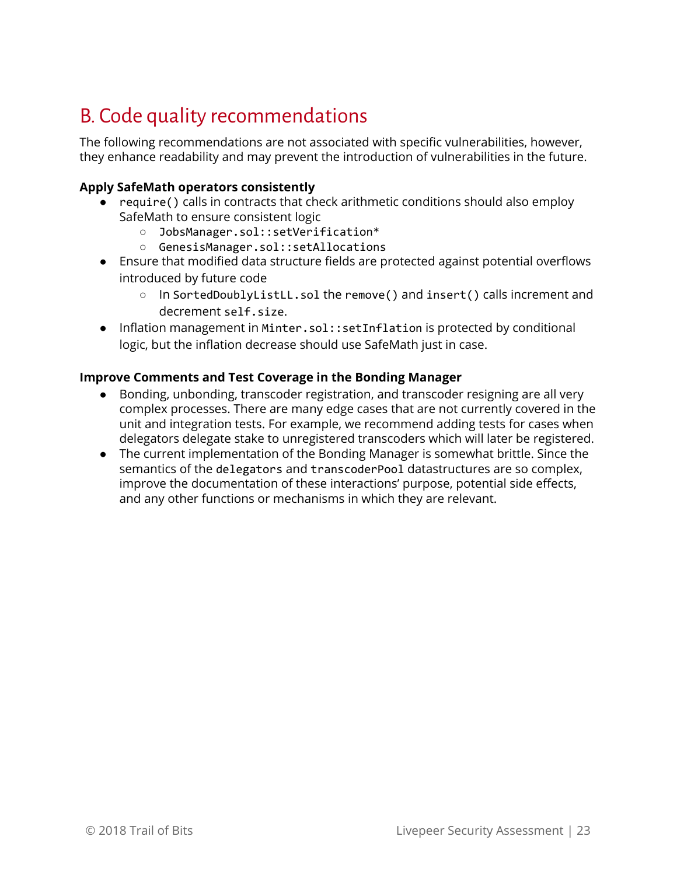# <span id="page-22-0"></span>B. Code quality recommendations

The following recommendations are not associated with specific vulnerabilities, however, they enhance readability and may prevent the introduction of vulnerabilities in the future.

#### **Apply SafeMath operators consistently**

- require() calls in contracts that check arithmetic conditions should also employ SafeMath to ensure consistent logic
	- JobsManager.sol::setVerification\*
	- GenesisManager.sol::setAllocations
- Ensure that modified data structure fields are protected against potential overflows introduced by future code
	- In SortedDoublyListLL.sol the remove() and insert() calls increment and decrement self.size.
- Inflation management in Minter.sol::setInflation is protected by conditional logic, but the inflation decrease should use SafeMath just in case.

#### **Improve Comments and Test Coverage in the Bonding Manager**

- Bonding, unbonding, transcoder registration, and transcoder resigning are all very complex processes. There are many edge cases that are not currently covered in the unit and integration tests. For example, we recommend adding tests for cases when delegators delegate stake to unregistered transcoders which will later be registered.
- The current implementation of the Bonding Manager is somewhat brittle. Since the semantics of the delegators and transcoderPool datastructures are so complex, improve the documentation of these interactions' purpose, potential side effects, and any other functions or mechanisms in which they are relevant.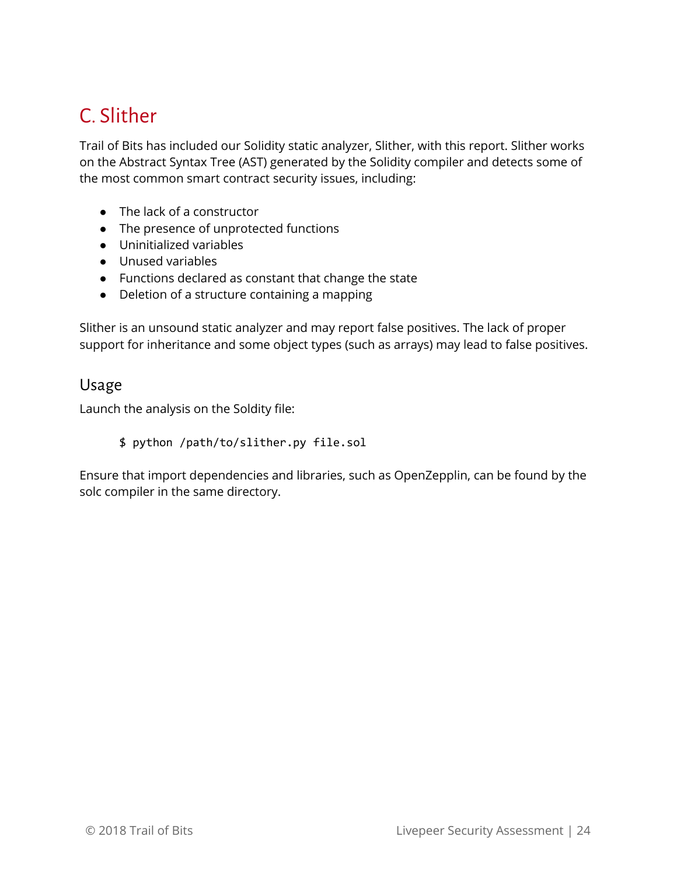# <span id="page-23-0"></span>C. Slither

Trail of Bits has included our Solidity static analyzer, Slither, with this report. Slither works on the Abstract Syntax Tree (AST) generated by the Solidity compiler and detects some of the most common smart contract security issues, including:

- The lack of a constructor
- The presence of unprotected functions
- Uninitialized variables
- Unused variables
- Functions declared as constant that change the state
- Deletion of a structure containing a mapping

Slither is an unsound static analyzer and may report false positives. The lack of proper support for inheritance and some object types (such as arrays) may lead to false positives.

#### <span id="page-23-1"></span>Usage

Launch the analysis on the Soldity file:

\$ python /path/to/slither.py file.sol

Ensure that import dependencies and libraries, such as OpenZepplin, can be found by the solc compiler in the same directory.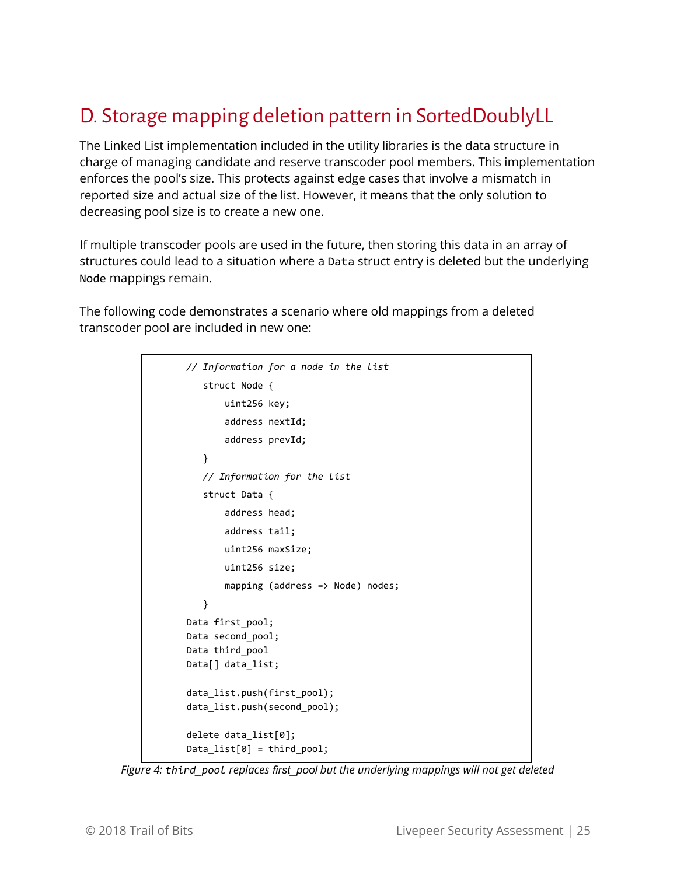# <span id="page-24-0"></span>D. Storage mapping deletion pattern in SortedDoublyLL

The Linked List implementation included in the utility libraries is the data structure in charge of managing candidate and reserve transcoder pool members. This implementation enforces the pool's size. This protects against edge cases that involve a mismatch in reported size and actual size of the list. However, it means that the only solution to decreasing pool size is to create a new one.

If multiple transcoder pools are used in the future, then storing this data in an array of structures could lead to a situation where a Data struct entry is deleted but the underlying Node mappings remain.

The following code demonstrates a scenario where old mappings from a deleted transcoder pool are included in new one:

```
// Information for a node in the list
      struct Node {
               uint256 key;
               address nextId;
               address prevId;
      }
       // Information for the list
      struct Data {
               address head;
               address tail;
               uint256 maxSize;
               uint256 size;
        mapping (address => Node) nodes;
      }
Data first_pool;
Data second_pool;
Data third_pool
Data[] data_list;
data_list.push(first_pool);
data_list.push(second_pool);
delete data_list[0];
Data_list[0] = third_pool;
```
*Figure 4: third\_pool replaces first\_pool but the underlying mappings will not get deleted*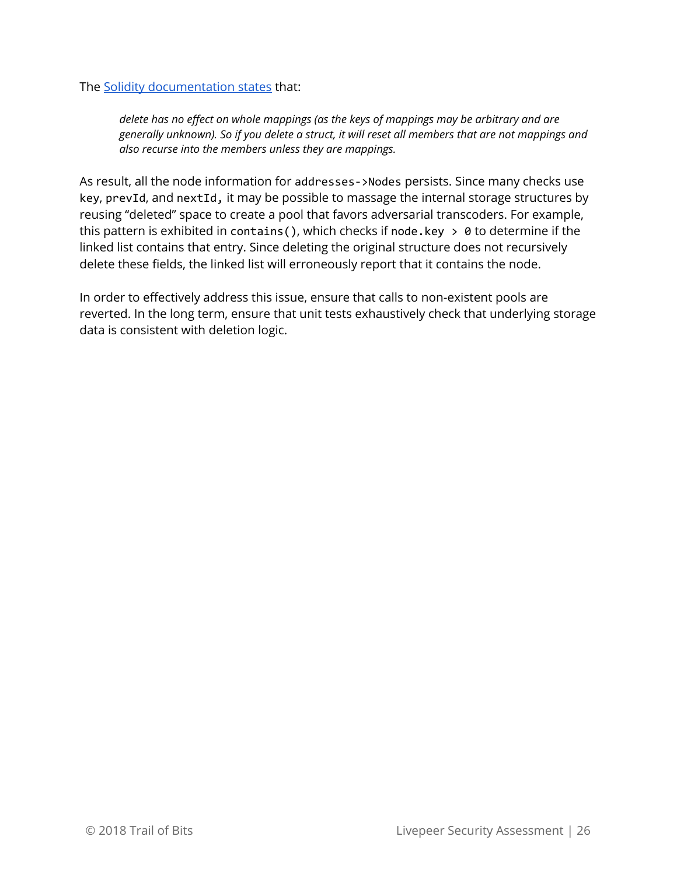The Solidity [documentation](http://solidity.readthedocs.io/en/develop/types.html?highlight=delete#delete) states that:

*delete has no effect on whole mappings (as the keys of mappings may be arbitrary and are generally unknown). So if you delete a struct, it will reset all members that are not mappings and also recurse into the members unless they are mappings.*

As result, all the node information for addresses - >Nodes persists. Since many checks use key, prevId, and nextId, it may be possible to massage the internal storage structures by reusing "deleted" space to create a pool that favors adversarial transcoders. For example, this pattern is exhibited in contains(), which checks if node.key  $> 0$  to determine if the linked list contains that entry. Since deleting the original structure does not recursively delete these fields, the linked list will erroneously report that it contains the node.

In order to effectively address this issue, ensure that calls to non-existent pools are reverted. In the long term, ensure that unit tests exhaustively check that underlying storage data is consistent with deletion logic.